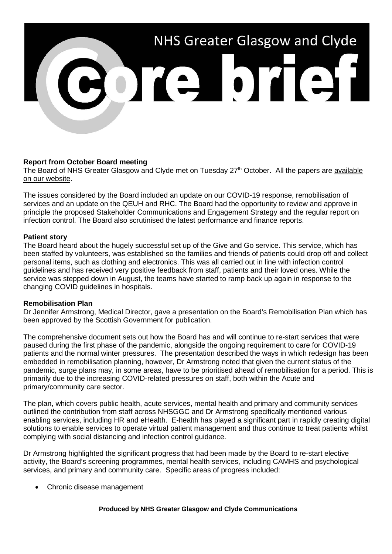# NHS Greater Glasgow and Clyde **BOTE DTETH**

# **Report from October Board meeting**

The Board of NHS Greater Glasgow and Clyde met on Tuesday 27<sup>th</sup> October. All the papers are available [on our website.](https://www.nhsggc.org.uk/about-us/nhsggc-board/board-meetings-papers-reports/papers/2020/)

The issues considered by the Board included an update on our COVID-19 response, remobilisation of services and an update on the QEUH and RHC. The Board had the opportunity to review and approve in principle the proposed Stakeholder Communications and Engagement Strategy and the regular report on infection control. The Board also scrutinised the latest performance and finance reports.

# **Patient story**

The Board heard about the hugely successful set up of the Give and Go service. This service, which has been staffed by volunteers, was established so the families and friends of patients could drop off and collect personal items, such as clothing and electronics. This was all carried out in line with infection control guidelines and has received very positive feedback from staff, patients and their loved ones. While the service was stepped down in August, the teams have started to ramp back up again in response to the changing COVID guidelines in hospitals.

# **Remobilisation Plan**

Dr Jennifer Armstrong, Medical Director, gave a presentation on the Board's Remobilisation Plan which has been approved by the Scottish Government for publication.

The comprehensive document sets out how the Board has and will continue to re-start services that were paused during the first phase of the pandemic, alongside the ongoing requirement to care for COVID-19 patients and the normal winter pressures. The presentation described the ways in which redesign has been embedded in remobilisation planning, however, Dr Armstrong noted that given the current status of the pandemic, surge plans may, in some areas, have to be prioritised ahead of remobilisation for a period. This is primarily due to the increasing COVID-related pressures on staff, both within the Acute and primary/community care sector.

The plan, which covers public health, acute services, mental health and primary and community services outlined the contribution from staff across NHSGGC and Dr Armstrong specifically mentioned various enabling services, including HR and eHealth. E-health has played a significant part in rapidly creating digital solutions to enable services to operate virtual patient management and thus continue to treat patients whilst complying with social distancing and infection control guidance.

Dr Armstrong highlighted the significant progress that had been made by the Board to re-start elective activity, the Board's screening programmes, mental health services, including CAMHS and psychological services, and primary and community care. Specific areas of progress included:

• Chronic disease management

### **Produced by NHS Greater Glasgow and Clyde Communications**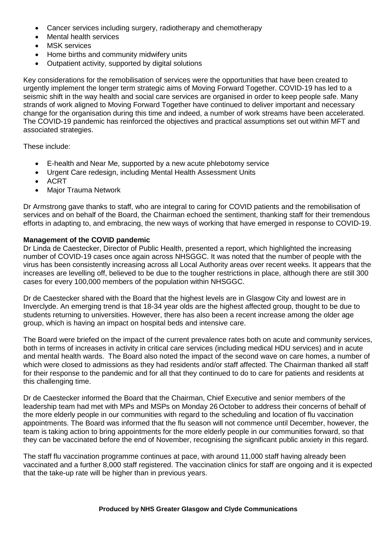- Cancer services including surgery, radiotherapy and chemotherapy
- Mental health services
- **MSK** services
- Home births and community midwifery units
- Outpatient activity, supported by digital solutions

Key considerations for the remobilisation of services were the opportunities that have been created to urgently implement the longer term strategic aims of Moving Forward Together. COVID-19 has led to a seismic shift in the way health and social care services are organised in order to keep people safe. Many strands of work aligned to Moving Forward Together have continued to deliver important and necessary change for the organisation during this time and indeed, a number of work streams have been accelerated. The COVID-19 pandemic has reinforced the objectives and practical assumptions set out within MFT and associated strategies.

These include:

- E-health and Near Me, supported by a new acute phlebotomy service
- Urgent Care redesign, including Mental Health Assessment Units
- ACRT
- Major Trauma Network

Dr Armstrong gave thanks to staff, who are integral to caring for COVID patients and the remobilisation of services and on behalf of the Board, the Chairman echoed the sentiment, thanking staff for their tremendous efforts in adapting to, and embracing, the new ways of working that have emerged in response to COVID-19.

# **Management of the COVID pandemic**

Dr Linda de Caestecker, Director of Public Health, presented a report, which highlighted the increasing number of COVID-19 cases once again across NHSGGC. It was noted that the number of people with the virus has been consistently increasing across all Local Authority areas over recent weeks. It appears that the increases are levelling off, believed to be due to the tougher restrictions in place, although there are still 300 cases for every 100,000 members of the population within NHSGGC.

Dr de Caestecker shared with the Board that the highest levels are in Glasgow City and lowest are in Inverclyde. An emerging trend is that 18-34 year olds are the highest affected group, thought to be due to students returning to universities. However, there has also been a recent increase among the older age group, which is having an impact on hospital beds and intensive care.

The Board were briefed on the impact of the current prevalence rates both on acute and community services, both in terms of increases in activity in critical care services (including medical HDU services) and in acute and mental health wards. The Board also noted the impact of the second wave on care homes, a number of which were closed to admissions as they had residents and/or staff affected. The Chairman thanked all staff for their response to the pandemic and for all that they continued to do to care for patients and residents at this challenging time.

Dr de Caestecker informed the Board that the Chairman, Chief Executive and senior members of the leadership team had met with MPs and MSPs on Monday 26 October to address their concerns of behalf of the more elderly people in our communities with regard to the scheduling and location of flu vaccination appointments. The Board was informed that the flu season will not commence until December, however, the team is taking action to bring appointments for the more elderly people in our communities forward, so that they can be vaccinated before the end of November, recognising the significant public anxiety in this regard.

The staff flu vaccination programme continues at pace, with around 11,000 staff having already been vaccinated and a further 8,000 staff registered. The vaccination clinics for staff are ongoing and it is expected that the take-up rate will be higher than in previous years.